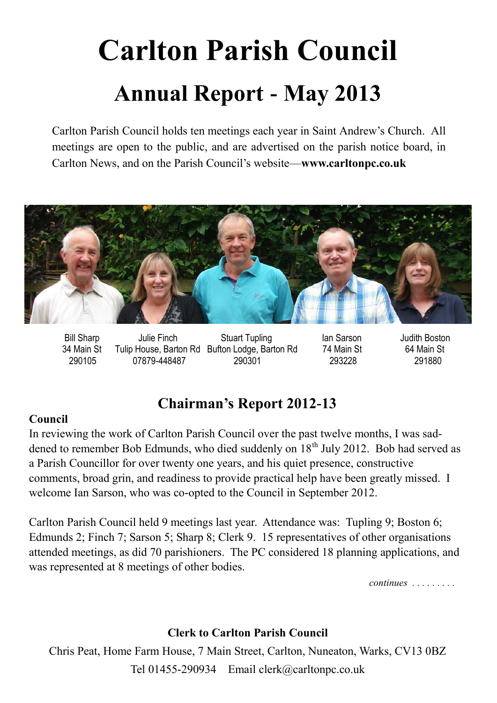# **Carlton Parish Council Annual Report - May 2013**

Carlton Parish Council holds ten meetings each year in Saint Andrew's Church. All meetings are open to the public, and are advertised on the parish notice board, in Carlton News, and on the Parish Council's website—**www.carltonpc.co.uk**



 Bill Sharp Julie Finch Stuart Tupling Ian Sarson Judith Boston 34 Main St Tulip House, Barton Rd Bufton Lodge, Barton Rd 74 Main St 64 Main St 290105 07879-448487 290301 293228 291880

## **Chairman's Report 2012-13**

#### **Council**

In reviewing the work of Carlton Parish Council over the past twelve months, I was saddened to remember Bob Edmunds, who died suddenly on 18<sup>th</sup> July 2012. Bob had served as a Parish Councillor for over twenty one years, and his quiet presence, constructive comments, broad grin, and readiness to provide practical help have been greatly missed. I welcome Ian Sarson, who was co-opted to the Council in September 2012.

Carlton Parish Council held 9 meetings last year. Attendance was: Tupling 9; Boston 6; Edmunds 2; Finch 7; Sarson 5; Sharp 8; Clerk 9. 15 representatives of other organisations attended meetings, as did 70 parishioners. The PC considered 18 planning applications, and was represented at 8 meetings of other bodies.

*continues . . . . . . . . .* 

#### **Clerk to Carlton Parish Council**

Chris Peat, Home Farm House, 7 Main Street, Carlton, Nuneaton, Warks, CV13 0BZ Tel 01455-290934 Email clerk@carltonpc.co.uk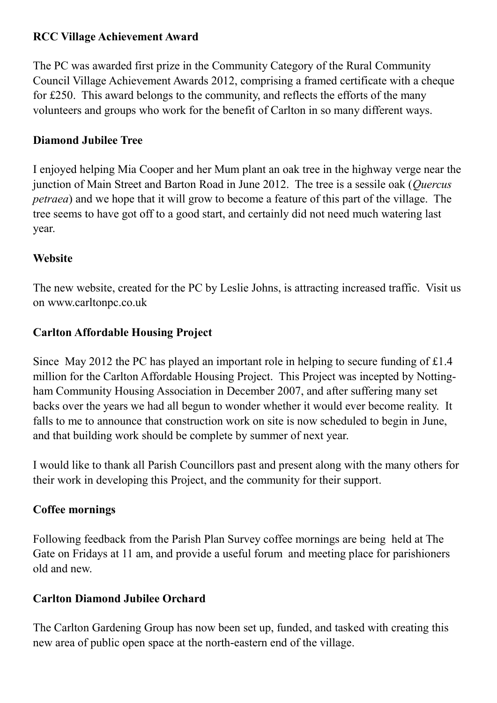#### **RCC Village Achievement Award**

The PC was awarded first prize in the Community Category of the Rural Community Council Village Achievement Awards 2012, comprising a framed certificate with a cheque for £250. This award belongs to the community, and reflects the efforts of the many volunteers and groups who work for the benefit of Carlton in so many different ways.

#### **Diamond Jubilee Tree**

I enjoyed helping Mia Cooper and her Mum plant an oak tree in the highway verge near the junction of Main Street and Barton Road in June 2012. The tree is a sessile oak (*Quercus petraea*) and we hope that it will grow to become a feature of this part of the village. The tree seems to have got off to a good start, and certainly did not need much watering last year.

#### **Website**

The new website, created for the PC by Leslie Johns, is attracting increased traffic. Visit us on www.carltonpc.co.uk

#### **Carlton Affordable Housing Project**

Since May 2012 the PC has played an important role in helping to secure funding of £1.4 million for the Carlton Affordable Housing Project. This Project was incepted by Nottingham Community Housing Association in December 2007, and after suffering many set backs over the years we had all begun to wonder whether it would ever become reality. It falls to me to announce that construction work on site is now scheduled to begin in June, and that building work should be complete by summer of next year.

I would like to thank all Parish Councillors past and present along with the many others for their work in developing this Project, and the community for their support.

#### **Coffee mornings**

Following feedback from the Parish Plan Survey coffee mornings are being held at The Gate on Fridays at 11 am, and provide a useful forum and meeting place for parishioners old and new.

#### **Carlton Diamond Jubilee Orchard**

The Carlton Gardening Group has now been set up, funded, and tasked with creating this new area of public open space at the north-eastern end of the village.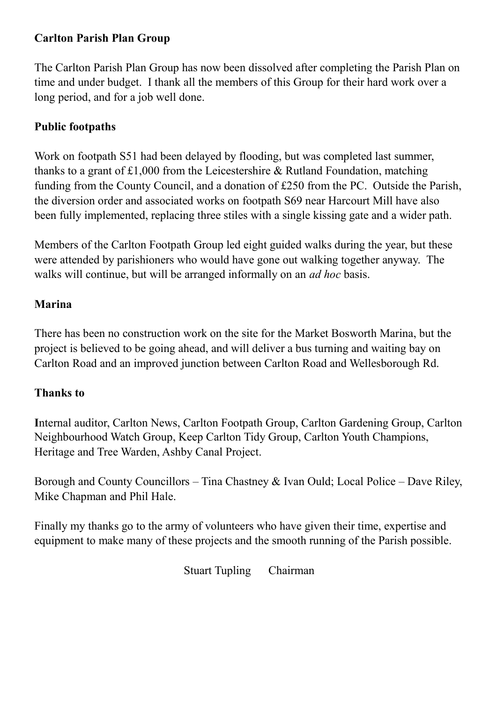#### **Carlton Parish Plan Group**

The Carlton Parish Plan Group has now been dissolved after completing the Parish Plan on time and under budget. I thank all the members of this Group for their hard work over a long period, and for a job well done.

#### **Public footpaths**

Work on footpath S51 had been delayed by flooding, but was completed last summer, thanks to a grant of £1,000 from the Leicestershire & Rutland Foundation, matching funding from the County Council, and a donation of £250 from the PC. Outside the Parish, the diversion order and associated works on footpath S69 near Harcourt Mill have also been fully implemented, replacing three stiles with a single kissing gate and a wider path.

Members of the Carlton Footpath Group led eight guided walks during the year, but these were attended by parishioners who would have gone out walking together anyway. The walks will continue, but will be arranged informally on an *ad hoc* basis.

#### **Marina**

There has been no construction work on the site for the Market Bosworth Marina, but the project is believed to be going ahead, and will deliver a bus turning and waiting bay on Carlton Road and an improved junction between Carlton Road and Wellesborough Rd.

#### **Thanks to**

**I**nternal auditor, Carlton News, Carlton Footpath Group, Carlton Gardening Group, Carlton Neighbourhood Watch Group, Keep Carlton Tidy Group, Carlton Youth Champions, Heritage and Tree Warden, Ashby Canal Project.

Borough and County Councillors – Tina Chastney & Ivan Ould; Local Police – Dave Riley, Mike Chapman and Phil Hale.

Finally my thanks go to the army of volunteers who have given their time, expertise and equipment to make many of these projects and the smooth running of the Parish possible.

Stuart Tupling Chairman